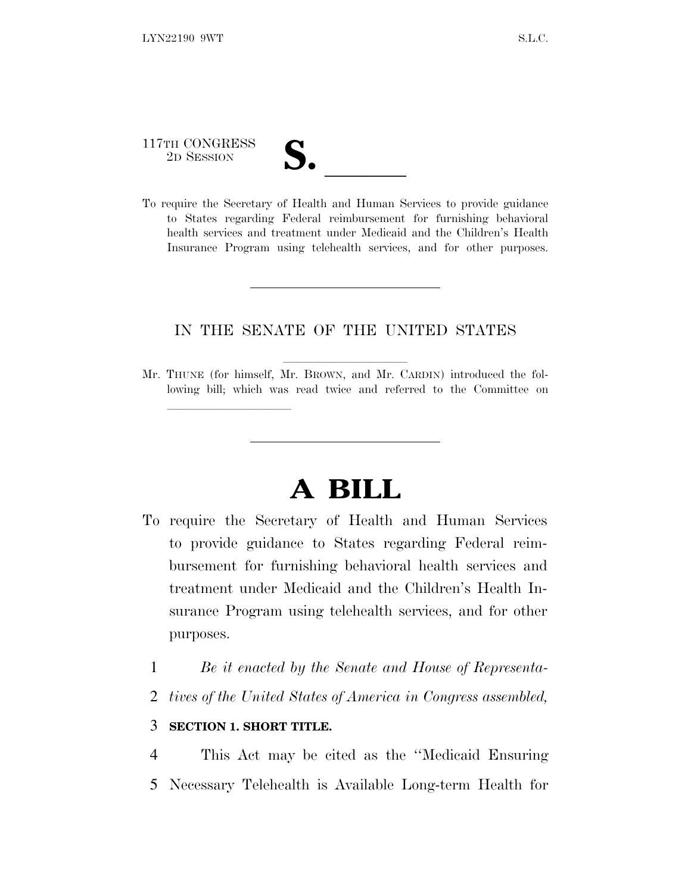# 117TH CONGRESS 117TH CONGRESS<br>
2D SESSION<br>
To require the Secretary of Health and Human Services to provide guidance

lland and a state of the state of the state of the state of the state of the state of the state of the state o

to States regarding Federal reimbursement for furnishing behavioral health services and treatment under Medicaid and the Children's Health Insurance Program using telehealth services, and for other purposes.

#### IN THE SENATE OF THE UNITED STATES

Mr. THUNE (for himself, Mr. BROWN, and Mr. CARDIN) introduced the following bill; which was read twice and referred to the Committee on

# **A BILL**

- To require the Secretary of Health and Human Services to provide guidance to States regarding Federal reimbursement for furnishing behavioral health services and treatment under Medicaid and the Children's Health Insurance Program using telehealth services, and for other purposes.
	- 1 *Be it enacted by the Senate and House of Representa-*
	- 2 *tives of the United States of America in Congress assembled,*

#### 3 **SECTION 1. SHORT TITLE.**

4 This Act may be cited as the ''Medicaid Ensuring 5 Necessary Telehealth is Available Long-term Health for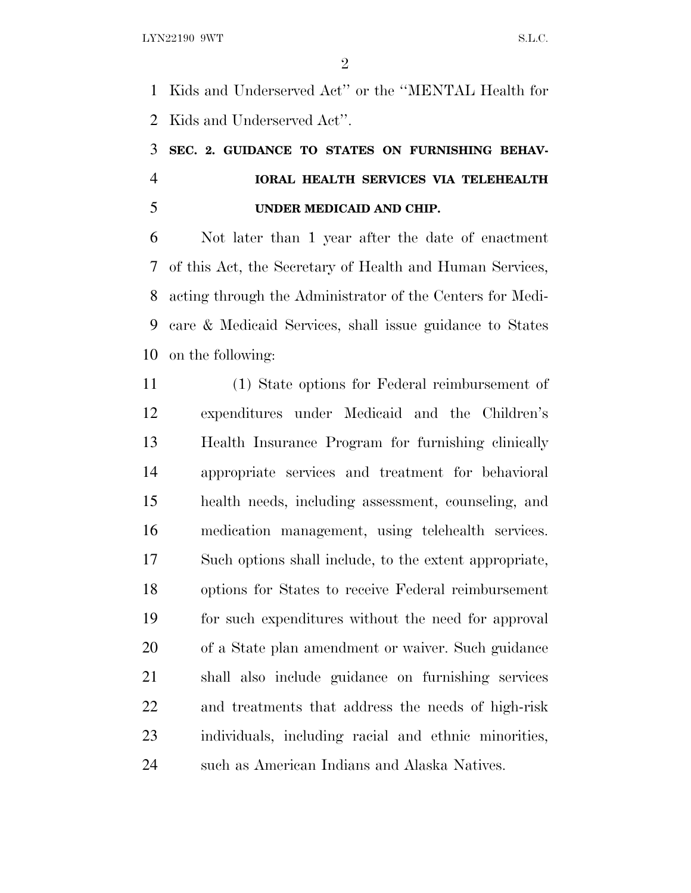Kids and Underserved Act'' or the ''MENTAL Health for Kids and Underserved Act''.

## **SEC. 2. GUIDANCE TO STATES ON FURNISHING BEHAV- IORAL HEALTH SERVICES VIA TELEHEALTH UNDER MEDICAID AND CHIP.**

 Not later than 1 year after the date of enactment of this Act, the Secretary of Health and Human Services, acting through the Administrator of the Centers for Medi- care & Medicaid Services, shall issue guidance to States on the following:

 (1) State options for Federal reimbursement of expenditures under Medicaid and the Children's Health Insurance Program for furnishing clinically appropriate services and treatment for behavioral health needs, including assessment, counseling, and medication management, using telehealth services. Such options shall include, to the extent appropriate, options for States to receive Federal reimbursement for such expenditures without the need for approval of a State plan amendment or waiver. Such guidance shall also include guidance on furnishing services and treatments that address the needs of high-risk individuals, including racial and ethnic minorities, such as American Indians and Alaska Natives.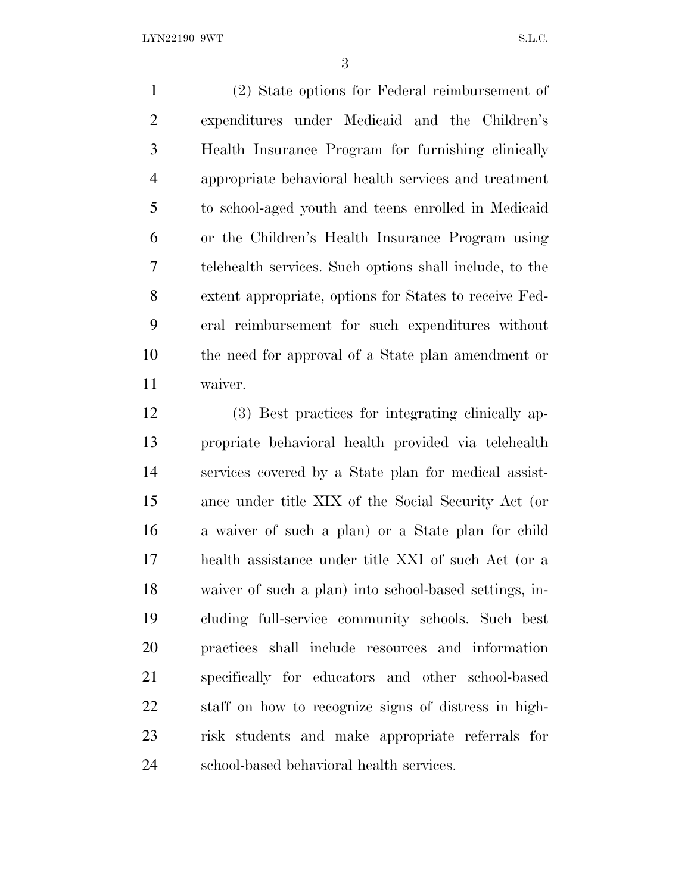(2) State options for Federal reimbursement of expenditures under Medicaid and the Children's Health Insurance Program for furnishing clinically appropriate behavioral health services and treatment to school-aged youth and teens enrolled in Medicaid or the Children's Health Insurance Program using telehealth services. Such options shall include, to the extent appropriate, options for States to receive Fed- eral reimbursement for such expenditures without the need for approval of a State plan amendment or waiver.

 (3) Best practices for integrating clinically ap- propriate behavioral health provided via telehealth services covered by a State plan for medical assist- ance under title XIX of the Social Security Act (or a waiver of such a plan) or a State plan for child health assistance under title XXI of such Act (or a waiver of such a plan) into school-based settings, in- cluding full-service community schools. Such best practices shall include resources and information specifically for educators and other school-based staff on how to recognize signs of distress in high- risk students and make appropriate referrals for school-based behavioral health services.